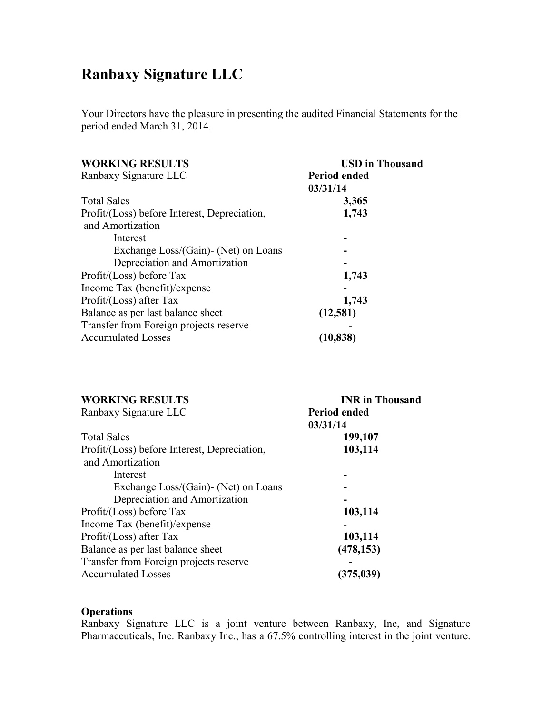# **Ranbaxy Signature LLC**

Your Directors have the pleasure in presenting the audited Financial Statements for the period ended March 31, 2014.

| <b>WORKING RESULTS</b>                       | <b>USD</b> in Thousand |
|----------------------------------------------|------------------------|
| Ranbaxy Signature LLC                        | <b>Period ended</b>    |
|                                              | 03/31/14               |
| <b>Total Sales</b>                           | 3,365                  |
| Profit/(Loss) before Interest, Depreciation, | 1,743                  |
| and Amortization                             |                        |
| Interest                                     |                        |
| Exchange Loss/(Gain)- (Net) on Loans         |                        |
| Depreciation and Amortization                |                        |
| Profit/(Loss) before Tax                     | 1,743                  |
| Income Tax (benefit)/expense                 |                        |
| Profit/(Loss) after Tax                      | 1,743                  |
| Balance as per last balance sheet            | (12,581)               |
| Transfer from Foreign projects reserve       |                        |
| <b>Accumulated Losses</b>                    | (10, 838)              |
|                                              |                        |

| <b>WORKING RESULTS</b>                       | <b>INR</b> in Thousand |
|----------------------------------------------|------------------------|
| Ranbaxy Signature LLC                        | Period ended           |
|                                              | 03/31/14               |
| <b>Total Sales</b>                           | 199,107                |
| Profit/(Loss) before Interest, Depreciation, | 103,114                |
| and Amortization                             |                        |
| Interest                                     |                        |
| Exchange Loss/(Gain)- (Net) on Loans         |                        |
| Depreciation and Amortization                |                        |
| Profit/(Loss) before Tax                     | 103,114                |
| Income Tax (benefit)/expense                 |                        |
| Profit/(Loss) after Tax                      | 103,114                |
| Balance as per last balance sheet            | (478, 153)             |
| Transfer from Foreign projects reserve       |                        |
| <b>Accumulated Losses</b>                    | (375, 039)             |

# **Operations**

Ranbaxy Signature LLC is a joint venture between Ranbaxy, Inc, and Signature Pharmaceuticals, Inc. Ranbaxy Inc., has a 67.5% controlling interest in the joint venture.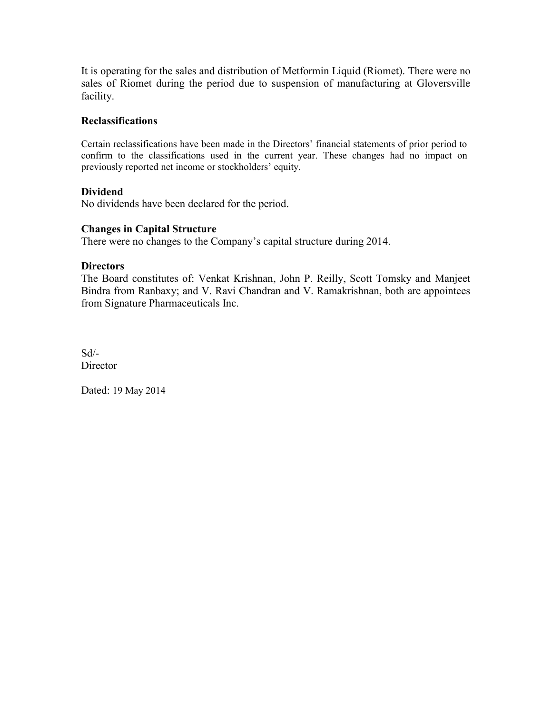It is operating for the sales and distribution of Metformin Liquid (Riomet). There were no sales of Riomet during the period due to suspension of manufacturing at Gloversville facility.

# **Reclassifications**

Certain reclassifications have been made in the Directors' financial statements of prior period to confirm to the classifications used in the current year. These changes had no impact on previously reported net income or stockholders' equity.

### **Dividend**

No dividends have been declared for the period.

# **Changes in Capital Structure**

There were no changes to the Company's capital structure during 2014.

### **Directors**

The Board constitutes of: Venkat Krishnan, John P. Reilly, Scott Tomsky and Manjeet Bindra from Ranbaxy; and V. Ravi Chandran and V. Ramakrishnan, both are appointees from Signature Pharmaceuticals Inc.

Sd/- **Director** 

Dated: 19 May 2014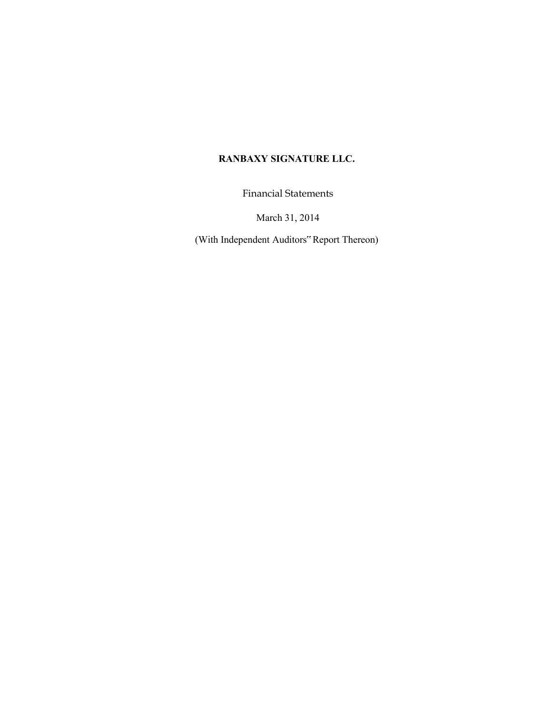# **RANBAXY SIGNATURE LLC.**

Financial Statements

March 31, 2014

(With Independent Auditors" Report Thereon)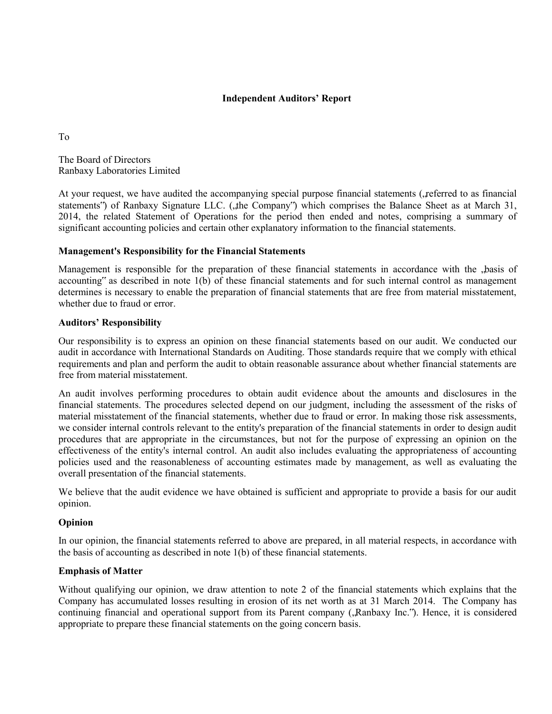### **Independent Auditors' Report**

To

The Board of Directors Ranbaxy Laboratories Limited

At your request, we have audited the accompanying special purpose financial statements (referred to as financial statements") of Ranbaxy Signature LLC. ("the Company") which comprises the Balance Sheet as at March 31, 2014, the related Statement of Operations for the period then ended and notes, comprising a summary of significant accounting policies and certain other explanatory information to the financial statements.

### **Management's Responsibility for the Financial Statements**

Management is responsible for the preparation of these financial statements in accordance with the basis of accounting" as described in note 1(b) of these financial statements and for such internal control as management determines is necessary to enable the preparation of financial statements that are free from material misstatement, whether due to fraud or error.

### **Auditors' Responsibility**

Our responsibility is to express an opinion on these financial statements based on our audit. We conducted our audit in accordance with International Standards on Auditing. Those standards require that we comply with ethical requirements and plan and perform the audit to obtain reasonable assurance about whether financial statements are free from material misstatement.

An audit involves performing procedures to obtain audit evidence about the amounts and disclosures in the financial statements. The procedures selected depend on our judgment, including the assessment of the risks of material misstatement of the financial statements, whether due to fraud or error. In making those risk assessments, we consider internal controls relevant to the entity's preparation of the financial statements in order to design audit procedures that are appropriate in the circumstances, but not for the purpose of expressing an opinion on the effectiveness of the entity's internal control. An audit also includes evaluating the appropriateness of accounting policies used and the reasonableness of accounting estimates made by management, as well as evaluating the overall presentation of the financial statements.

We believe that the audit evidence we have obtained is sufficient and appropriate to provide a basis for our audit opinion.

### **Opinion**

In our opinion, the financial statements referred to above are prepared, in all material respects, in accordance with the basis of accounting as described in note 1(b) of these financial statements.

### **Emphasis of Matter**

Without qualifying our opinion, we draw attention to note 2 of the financial statements which explains that the Company has accumulated losses resulting in erosion of its net worth as at 31 March 2014. The Company has continuing financial and operational support from its Parent company ("Ranbaxy Inc."). Hence, it is considered appropriate to prepare these financial statements on the going concern basis.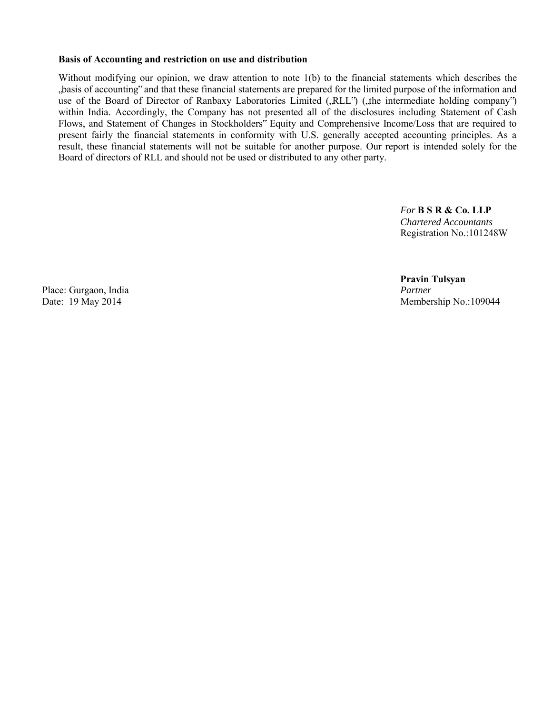### **Basis of Accounting and restriction on use and distribution**

Without modifying our opinion, we draw attention to note 1(b) to the financial statements which describes the "basis of accounting" and that these financial statements are prepared for the limited purpose of the information and use of the Board of Director of Ranbaxy Laboratories Limited ("RLL") ("the intermediate holding company") within India. Accordingly, the Company has not presented all of the disclosures including Statement of Cash Flows, and Statement of Changes in Stockholders" Equity and Comprehensive Income/Loss that are required to present fairly the financial statements in conformity with U.S. generally accepted accounting principles. As a result, these financial statements will not be suitable for another purpose. Our report is intended solely for the Board of directors of RLL and should not be used or distributed to any other party.

> *For* **B S R & Co. LLP**  *Chartered Accountants*  Registration No.:101248W

Place: Gurgaon, India *Partner*

 **Pravin Tulsyan**  Date: 19 May 2014 Membership No.:109044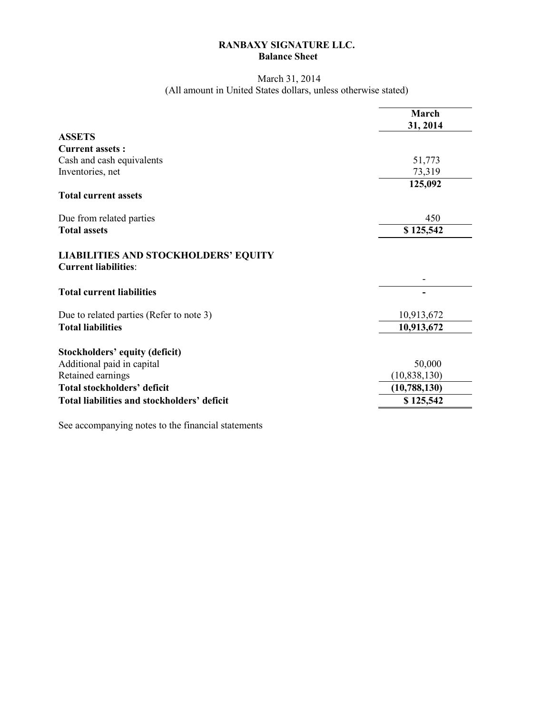### **RANBAXY SIGNATURE LLC. Balance Sheet**

### March 31, 2014 (All amount in United States dollars, unless otherwise stated)

|                                                                            | March          |
|----------------------------------------------------------------------------|----------------|
|                                                                            | 31, 2014       |
| <b>ASSETS</b>                                                              |                |
| <b>Current assets:</b>                                                     |                |
| Cash and cash equivalents                                                  | 51,773         |
| Inventories, net                                                           | 73,319         |
|                                                                            | 125,092        |
| <b>Total current assets</b>                                                |                |
| Due from related parties                                                   | 450            |
| <b>Total assets</b>                                                        | \$125,542      |
| <b>LIABILITIES AND STOCKHOLDERS' EQUITY</b><br><b>Current liabilities:</b> |                |
| <b>Total current liabilities</b>                                           |                |
| Due to related parties (Refer to note 3)                                   | 10,913,672     |
| <b>Total liabilities</b>                                                   | 10,913,672     |
| Stockholders' equity (deficit)                                             |                |
| Additional paid in capital                                                 | 50,000         |
| Retained earnings                                                          | (10, 838, 130) |
| <b>Total stockholders' deficit</b>                                         | (10, 788, 130) |
| Total liabilities and stockholders' deficit                                | \$125,542      |
|                                                                            |                |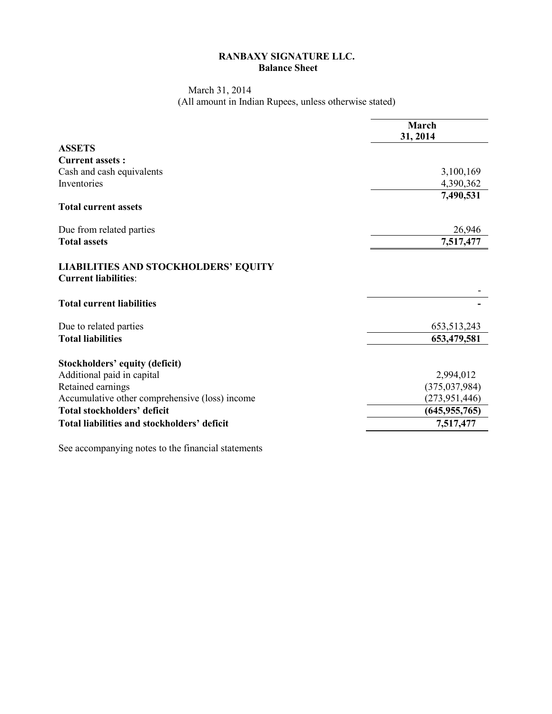# **RANBAXY SIGNATURE LLC. Balance Sheet**

 March 31, 2014 (All amount in Indian Rupees, unless otherwise stated)

|                                                                            | <b>March</b>    |
|----------------------------------------------------------------------------|-----------------|
| <b>ASSETS</b>                                                              | 31, 2014        |
| <b>Current assets:</b>                                                     |                 |
| Cash and cash equivalents                                                  | 3,100,169       |
| Inventories                                                                | 4,390,362       |
|                                                                            | 7,490,531       |
| <b>Total current assets</b>                                                |                 |
| Due from related parties                                                   | 26,946          |
| <b>Total assets</b>                                                        | 7,517,477       |
| <b>LIABILITIES AND STOCKHOLDERS' EQUITY</b><br><b>Current liabilities:</b> |                 |
| <b>Total current liabilities</b>                                           |                 |
| Due to related parties                                                     | 653,513,243     |
| <b>Total liabilities</b>                                                   | 653,479,581     |
| Stockholders' equity (deficit)                                             |                 |
| Additional paid in capital                                                 | 2,994,012       |
| Retained earnings                                                          | (375, 037, 984) |
| Accumulative other comprehensive (loss) income                             | (273, 951, 446) |
| Total stockholders' deficit                                                | (645, 955, 765) |
| Total liabilities and stockholders' deficit                                | 7,517,477       |
|                                                                            |                 |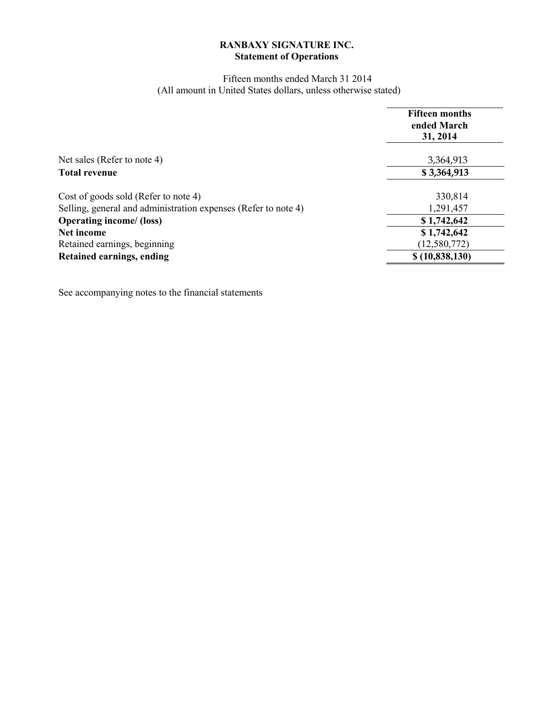# **RANBAXY SIGNATURE INC. Statement of Operations**

## Fifteen months ended March 31 2014 (All amount in United States dollars, unless otherwise stated)

|                                                                | <b>Fifteen months</b><br>ended March<br>31, 2014 |
|----------------------------------------------------------------|--------------------------------------------------|
| Net sales (Refer to note 4)                                    | 3,364,913                                        |
| <b>Total revenue</b>                                           | \$3,364,913                                      |
| Cost of goods sold (Refer to note 4)                           | 330,814                                          |
| Selling, general and administration expenses (Refer to note 4) | 1,291,457                                        |
| <b>Operating income/ (loss)</b>                                | \$1,742,642                                      |
| Net income                                                     | \$1,742,642                                      |
| Retained earnings, beginning                                   | (12,580,772)                                     |
| Retained earnings, ending                                      | \$(10,838,130)                                   |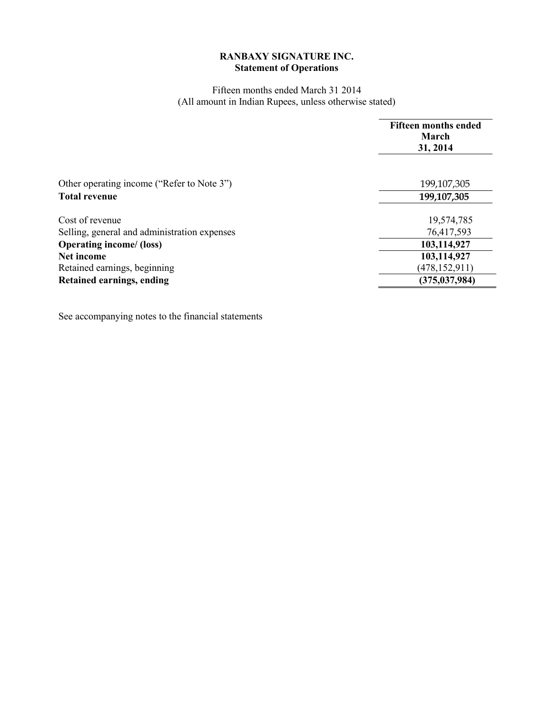# **RANBAXY SIGNATURE INC. Statement of Operations**

# Fifteen months ended March 31 2014 (All amount in Indian Rupees, unless otherwise stated)

|                                              | <b>Fifteen months ended</b><br>March<br>31, 2014 |
|----------------------------------------------|--------------------------------------------------|
| Other operating income ("Refer to Note 3")   | 199,107,305                                      |
| <b>Total revenue</b>                         | 199,107,305                                      |
| Cost of revenue                              | 19,574,785                                       |
| Selling, general and administration expenses | 76,417,593                                       |
| <b>Operating income/ (loss)</b>              | 103,114,927                                      |
| Net income                                   | 103,114,927                                      |
| Retained earnings, beginning                 | (478, 152, 911)                                  |
| Retained earnings, ending                    | (375, 037, 984)                                  |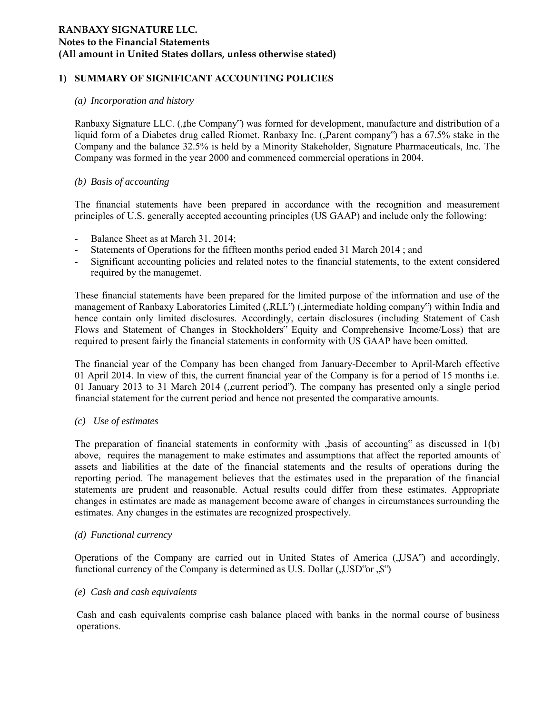### **RANBAXY SIGNATURE LLC. Notes to the Financial Statements (All amount in United States dollars, unless otherwise stated)**

### **1) SUMMARY OF SIGNIFICANT ACCOUNTING POLICIES**

### *(a) Incorporation and history*

Ranbaxy Signature LLC. ("the Company") was formed for development, manufacture and distribution of a liquid form of a Diabetes drug called Riomet. Ranbaxy Inc. (Parent company') has a 67.5% stake in the Company and the balance 32.5% is held by a Minority Stakeholder, Signature Pharmaceuticals, Inc. The Company was formed in the year 2000 and commenced commercial operations in 2004.

### *(b) Basis of accounting*

The financial statements have been prepared in accordance with the recognition and measurement principles of U.S. generally accepted accounting principles (US GAAP) and include only the following:

- Balance Sheet as at March 31, 2014;
- Statements of Operations for the fiffteen months period ended 31 March 2014; and
- Significant accounting policies and related notes to the financial statements, to the extent considered required by the managemet.

These financial statements have been prepared for the limited purpose of the information and use of the management of Ranbaxy Laboratories Limited ("RLL") ("intermediate holding company") within India and hence contain only limited disclosures. Accordingly, certain disclosures (including Statement of Cash Flows and Statement of Changes in Stockholders" Equity and Comprehensive Income/Loss) that are required to present fairly the financial statements in conformity with US GAAP have been omitted.

The financial year of the Company has been changed from January-December to April-March effective 01 April 2014. In view of this, the current financial year of the Company is for a period of 15 months i.e. 01 January 2013 to 31 March 2014 ("current period"). The company has presented only a single period financial statement for the current period and hence not presented the comparative amounts.

### *(c) Use of estimates*

The preparation of financial statements in conformity with  $\Delta$ basis of accounting" as discussed in 1(b) above, requires the management to make estimates and assumptions that affect the reported amounts of assets and liabilities at the date of the financial statements and the results of operations during the reporting period. The management believes that the estimates used in the preparation of the financial statements are prudent and reasonable. Actual results could differ from these estimates. Appropriate changes in estimates are made as management become aware of changes in circumstances surrounding the estimates. Any changes in the estimates are recognized prospectively.

*(d) Functional currency* 

Operations of the Company are carried out in United States of America ("USA") and accordingly, functional currency of the Company is determined as U.S. Dollar  $($ <sub>u</sub>USD<sup>or</sup>or  $\mathcal{N}^{\prime}$ 

#### *(e) Cash and cash equivalents*

Cash and cash equivalents comprise cash balance placed with banks in the normal course of business operations.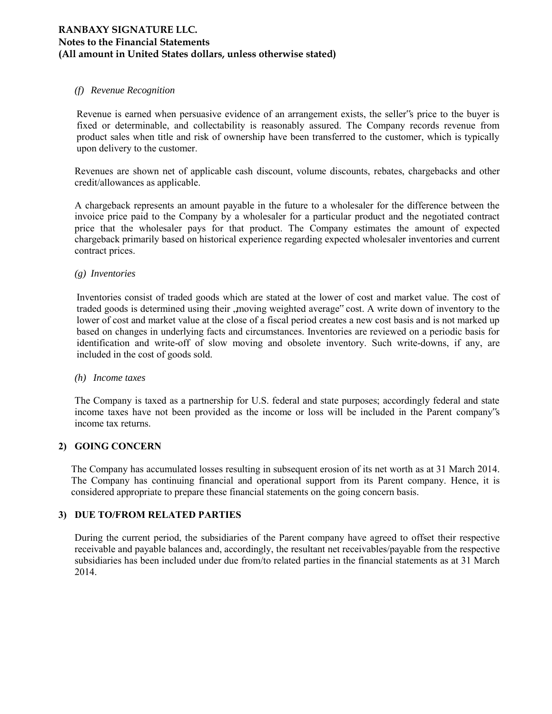### **RANBAXY SIGNATURE LLC. Notes to the Financial Statements (All amount in United States dollars, unless otherwise stated)**

### *(f) Revenue Recognition*

Revenue is earned when persuasive evidence of an arrangement exists, the seller"s price to the buyer is fixed or determinable, and collectability is reasonably assured. The Company records revenue from product sales when title and risk of ownership have been transferred to the customer, which is typically upon delivery to the customer.

Revenues are shown net of applicable cash discount, volume discounts, rebates, chargebacks and other credit/allowances as applicable.

A chargeback represents an amount payable in the future to a wholesaler for the difference between the invoice price paid to the Company by a wholesaler for a particular product and the negotiated contract price that the wholesaler pays for that product. The Company estimates the amount of expected chargeback primarily based on historical experience regarding expected wholesaler inventories and current contract prices.

### *(g) Inventories*

Inventories consist of traded goods which are stated at the lower of cost and market value. The cost of traded goods is determined using their , moving weighted average" cost. A write down of inventory to the lower of cost and market value at the close of a fiscal period creates a new cost basis and is not marked up based on changes in underlying facts and circumstances. Inventories are reviewed on a periodic basis for identification and write-off of slow moving and obsolete inventory. Such write-downs, if any, are included in the cost of goods sold.

#### *(h) Income taxes*

The Company is taxed as a partnership for U.S. federal and state purposes; accordingly federal and state income taxes have not been provided as the income or loss will be included in the Parent company"s income tax returns.

### **2) GOING CONCERN**

The Company has accumulated losses resulting in subsequent erosion of its net worth as at 31 March 2014. The Company has continuing financial and operational support from its Parent company. Hence, it is considered appropriate to prepare these financial statements on the going concern basis.

### **3) DUE TO/FROM RELATED PARTIES**

During the current period, the subsidiaries of the Parent company have agreed to offset their respective receivable and payable balances and, accordingly, the resultant net receivables/payable from the respective subsidiaries has been included under due from/to related parties in the financial statements as at 31 March 2014.